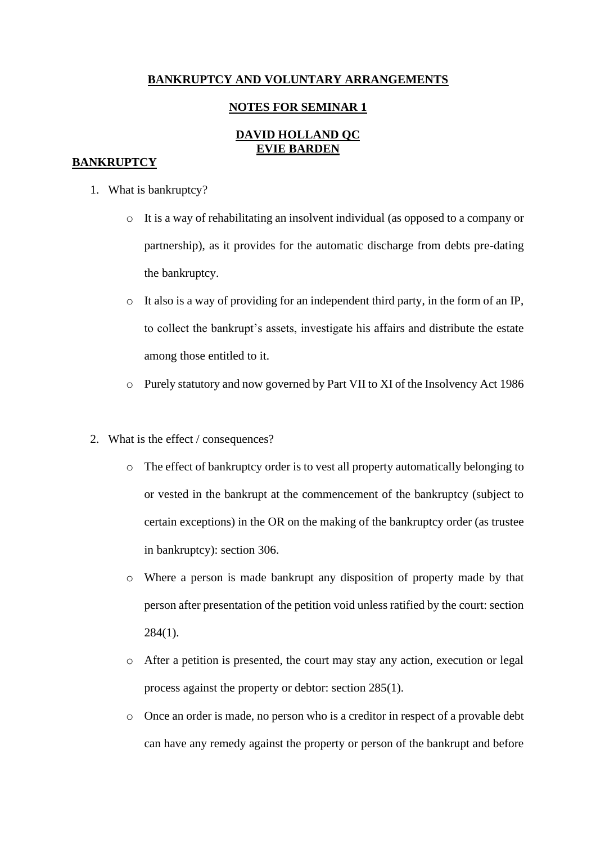## **BANKRUPTCY AND VOLUNTARY ARRANGEMENTS**

#### **NOTES FOR SEMINAR 1**

# **DAVID HOLLAND QC EVIE BARDEN**

## **BANKRUPTCY**

- 1. What is bankruptcy?
	- o It is a way of rehabilitating an insolvent individual (as opposed to a company or partnership), as it provides for the automatic discharge from debts pre-dating the bankruptcy.
	- o It also is a way of providing for an independent third party, in the form of an IP, to collect the bankrupt's assets, investigate his affairs and distribute the estate among those entitled to it.
	- o Purely statutory and now governed by Part VII to XI of the Insolvency Act 1986
- 2. What is the effect / consequences?
	- $\circ$  The effect of bankruptcy order is to vest all property automatically belonging to or vested in the bankrupt at the commencement of the bankruptcy (subject to certain exceptions) in the OR on the making of the bankruptcy order (as trustee in bankruptcy): section 306.
	- o Where a person is made bankrupt any disposition of property made by that person after presentation of the petition void unless ratified by the court: section 284(1).
	- o After a petition is presented, the court may stay any action, execution or legal process against the property or debtor: section 285(1).
	- o Once an order is made, no person who is a creditor in respect of a provable debt can have any remedy against the property or person of the bankrupt and before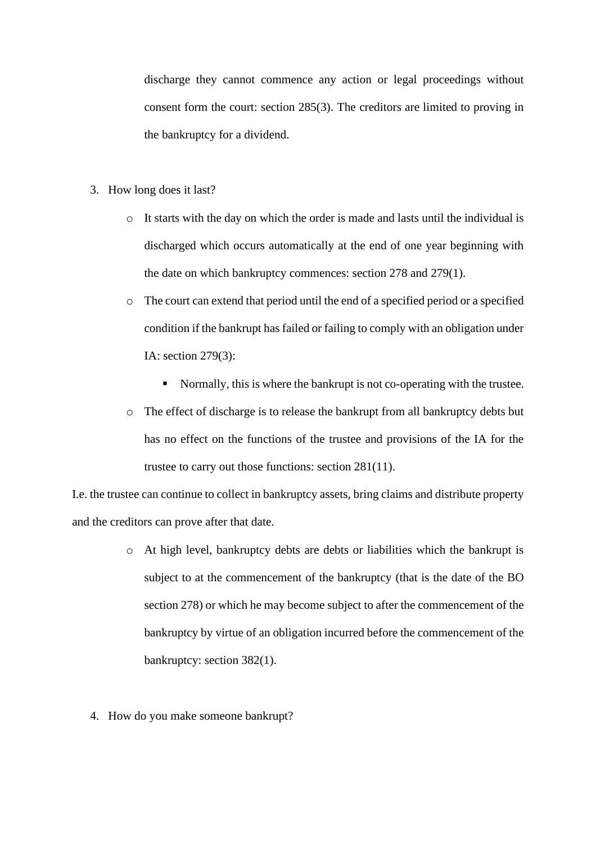discharge they cannot commence any action or legal proceedings without consent form the court: section 285(3). The creditors are limited to proving in the bankruptcy for a dividend.

- 3. How long does it last?
	- o It starts with the day on which the order is made and lasts until the individual is discharged which occurs automatically at the end of one year beginning with the date on which bankruptcy commences: section 278 and 279(1).
	- o The court can extend that period until the end of a specified period or a specified condition if the bankrupt has failed or failing to comply with an obligation under IA: section 279(3):
		- Normally, this is where the bankrupt is not co-operating with the trustee.
	- o The effect of discharge is to release the bankrupt from all bankruptcy debts but has no effect on the functions of the trustee and provisions of the IA for the trustee to carry out those functions: section 281(11).

I.e. the trustee can continue to collect in bankruptcy assets, bring claims and distribute property and the creditors can prove after that date.

- o At high level, bankruptcy debts are debts or liabilities which the bankrupt is subject to at the commencement of the bankruptcy (that is the date of the BO section 278) or which he may become subject to after the commencement of the bankruptcy by virtue of an obligation incurred before the commencement of the bankruptcy: section 382(1).
- 4. How do you make someone bankrupt?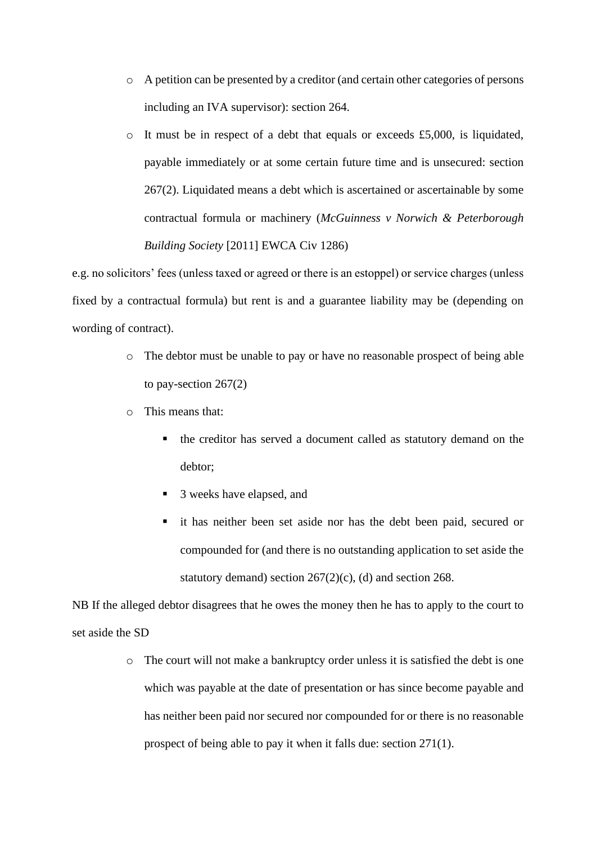- o A petition can be presented by a creditor (and certain other categories of persons including an IVA supervisor): section 264.
- o It must be in respect of a debt that equals or exceeds £5,000, is liquidated, payable immediately or at some certain future time and is unsecured: section 267(2). Liquidated means a debt which is ascertained or ascertainable by some contractual formula or machinery (*McGuinness v Norwich & Peterborough Building Society* [2011] EWCA Civ 1286)

e.g. no solicitors' fees (unless taxed or agreed or there is an estoppel) or service charges (unless fixed by a contractual formula) but rent is and a guarantee liability may be (depending on wording of contract).

- o The debtor must be unable to pay or have no reasonable prospect of being able to pay-section 267(2)
- o This means that:
	- the creditor has served a document called as statutory demand on the debtor;
	- 3 weeks have elapsed, and
	- it has neither been set aside nor has the debt been paid, secured or compounded for (and there is no outstanding application to set aside the statutory demand) section 267(2)(c), (d) and section 268.

NB If the alleged debtor disagrees that he owes the money then he has to apply to the court to set aside the SD

> o The court will not make a bankruptcy order unless it is satisfied the debt is one which was payable at the date of presentation or has since become payable and has neither been paid nor secured nor compounded for or there is no reasonable prospect of being able to pay it when it falls due: section 271(1).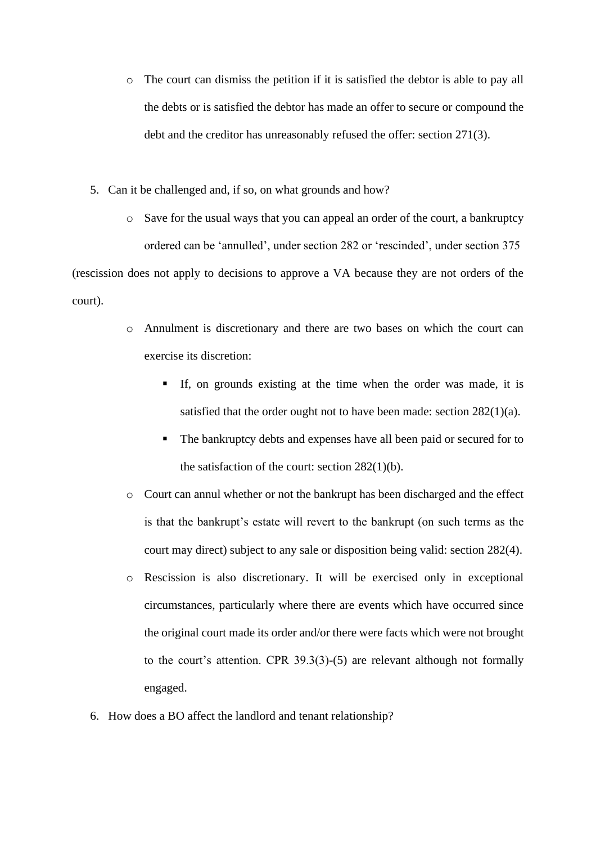- o The court can dismiss the petition if it is satisfied the debtor is able to pay all the debts or is satisfied the debtor has made an offer to secure or compound the debt and the creditor has unreasonably refused the offer: section 271(3).
- 5. Can it be challenged and, if so, on what grounds and how?
- o Save for the usual ways that you can appeal an order of the court, a bankruptcy ordered can be 'annulled', under section 282 or 'rescinded', under section 375 (rescission does not apply to decisions to approve a VA because they are not orders of the court).
	- o Annulment is discretionary and there are two bases on which the court can exercise its discretion:
		- If, on grounds existing at the time when the order was made, it is satisfied that the order ought not to have been made: section 282(1)(a).
		- The bankruptcy debts and expenses have all been paid or secured for to the satisfaction of the court: section 282(1)(b).
	- o Court can annul whether or not the bankrupt has been discharged and the effect is that the bankrupt's estate will revert to the bankrupt (on such terms as the court may direct) subject to any sale or disposition being valid: section 282(4).
	- o Rescission is also discretionary. It will be exercised only in exceptional circumstances, particularly where there are events which have occurred since the original court made its order and/or there were facts which were not brought to the court's attention. CPR 39.3(3)-(5) are relevant although not formally engaged.
	- 6. How does a BO affect the landlord and tenant relationship?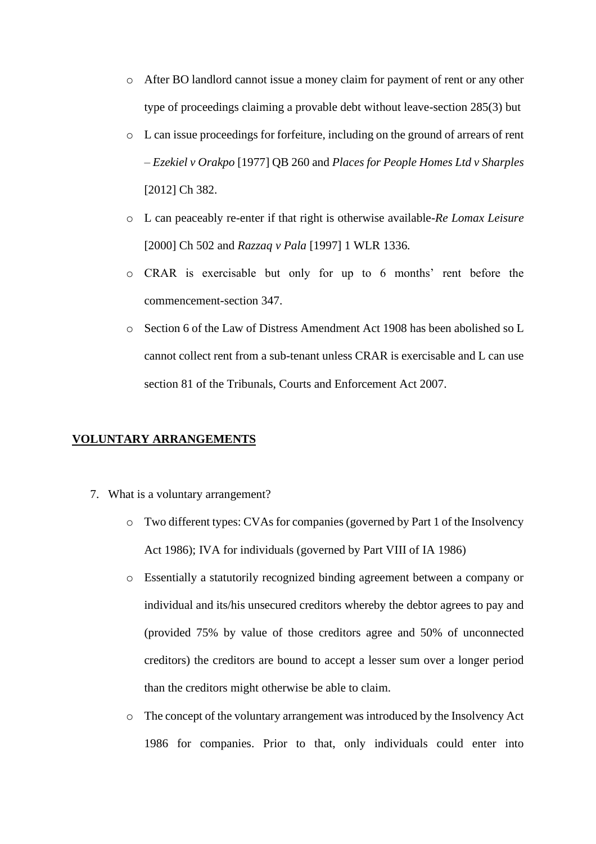- o After BO landlord cannot issue a money claim for payment of rent or any other type of proceedings claiming a provable debt without leave-section 285(3) but
- o L can issue proceedings for forfeiture, including on the ground of arrears of rent – *Ezekiel v Orakpo* [1977] QB 260 and *Places for People Homes Ltd v Sharples*  [2012] Ch 382.
- o L can peaceably re-enter if that right is otherwise available-*Re Lomax Leisure*  [2000] Ch 502 and *Razzaq v Pala* [1997] 1 WLR 1336*.*
- o CRAR is exercisable but only for up to 6 months' rent before the commencement-section 347.
- o Section 6 of the Law of Distress Amendment Act 1908 has been abolished so L cannot collect rent from a sub-tenant unless CRAR is exercisable and L can use section 81 of the Tribunals, Courts and Enforcement Act 2007.

## **VOLUNTARY ARRANGEMENTS**

- 7. What is a voluntary arrangement?
	- o Two different types: CVAs for companies (governed by Part 1 of the Insolvency Act 1986); IVA for individuals (governed by Part VIII of IA 1986)
	- o Essentially a statutorily recognized binding agreement between a company or individual and its/his unsecured creditors whereby the debtor agrees to pay and (provided 75% by value of those creditors agree and 50% of unconnected creditors) the creditors are bound to accept a lesser sum over a longer period than the creditors might otherwise be able to claim.
	- o The concept of the voluntary arrangement was introduced by the Insolvency Act 1986 for companies. Prior to that, only individuals could enter into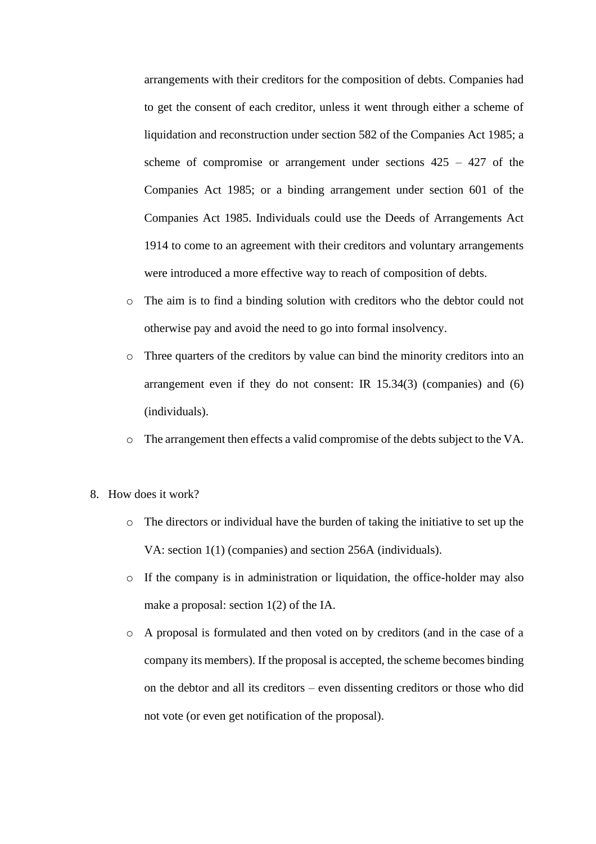arrangements with their creditors for the composition of debts. Companies had to get the consent of each creditor, unless it went through either a scheme of liquidation and reconstruction under section 582 of the Companies Act 1985; a scheme of compromise or arrangement under sections 425 – 427 of the Companies Act 1985; or a binding arrangement under section 601 of the Companies Act 1985. Individuals could use the Deeds of Arrangements Act 1914 to come to an agreement with their creditors and voluntary arrangements were introduced a more effective way to reach of composition of debts.

- o The aim is to find a binding solution with creditors who the debtor could not otherwise pay and avoid the need to go into formal insolvency.
- o Three quarters of the creditors by value can bind the minority creditors into an arrangement even if they do not consent: IR 15.34(3) (companies) and (6) (individuals).
- o The arrangement then effects a valid compromise of the debts subject to the VA.
- 8. How does it work?
	- o The directors or individual have the burden of taking the initiative to set up the VA: section 1(1) (companies) and section 256A (individuals).
	- o If the company is in administration or liquidation, the office-holder may also make a proposal: section 1(2) of the IA.
	- o A proposal is formulated and then voted on by creditors (and in the case of a company its members). If the proposal is accepted, the scheme becomes binding on the debtor and all its creditors – even dissenting creditors or those who did not vote (or even get notification of the proposal).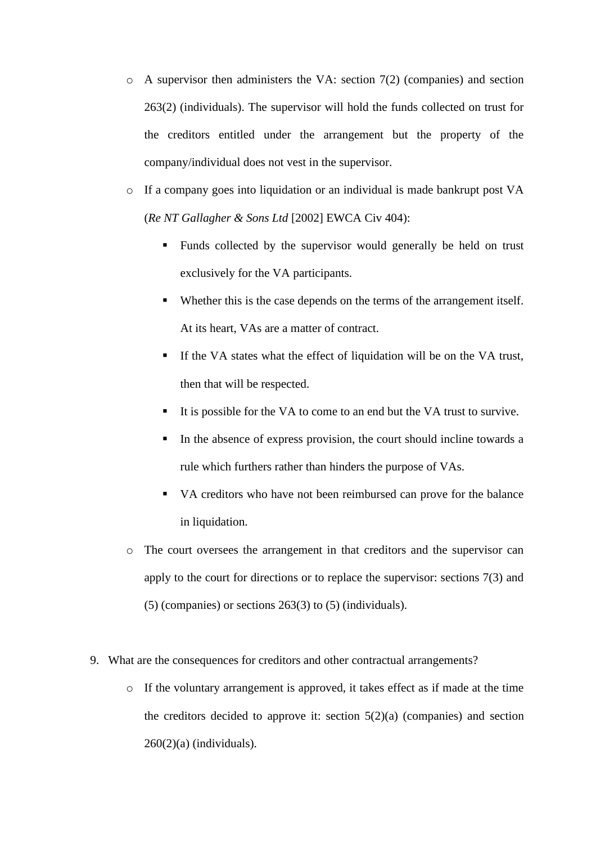- $\circ$  A supervisor then administers the VA: section 7(2) (companies) and section 263(2) (individuals). The supervisor will hold the funds collected on trust for the creditors entitled under the arrangement but the property of the company/individual does not vest in the supervisor.
- o If a company goes into liquidation or an individual is made bankrupt post VA (*Re NT Gallagher & Sons Ltd* [2002] EWCA Civ 404):
	- Funds collected by the supervisor would generally be held on trust exclusively for the VA participants.
	- Whether this is the case depends on the terms of the arrangement itself. At its heart, VAs are a matter of contract.
	- **If the VA states what the effect of liquidation will be on the VA trust,** then that will be respected.
	- It is possible for the VA to come to an end but the VA trust to survive.
	- In the absence of express provision, the court should incline towards a rule which furthers rather than hinders the purpose of VAs.
	- VA creditors who have not been reimbursed can prove for the balance in liquidation.
- o The court oversees the arrangement in that creditors and the supervisor can apply to the court for directions or to replace the supervisor: sections 7(3) and (5) (companies) or sections 263(3) to (5) (individuals).
- 9. What are the consequences for creditors and other contractual arrangements?
	- o If the voluntary arrangement is approved, it takes effect as if made at the time the creditors decided to approve it: section  $5(2)(a)$  (companies) and section  $260(2)(a)$  (individuals).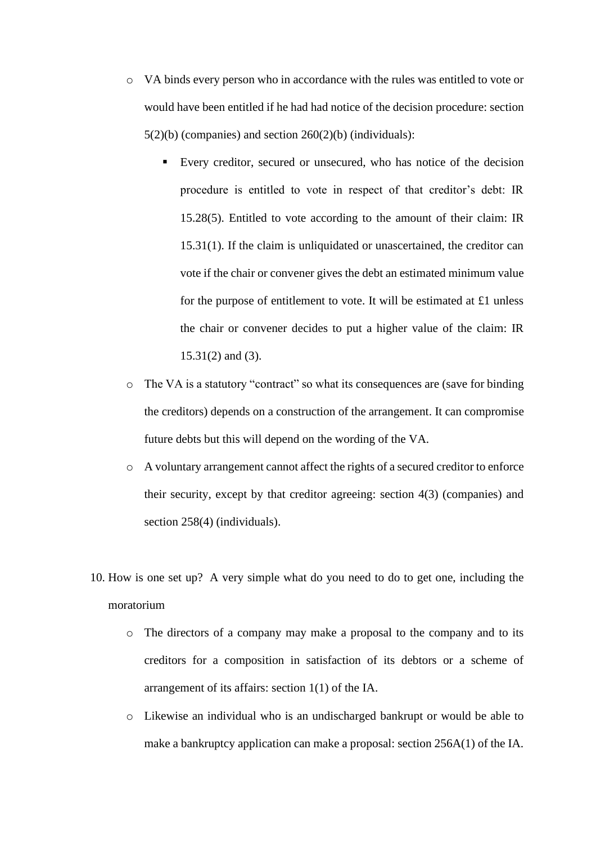- o VA binds every person who in accordance with the rules was entitled to vote or would have been entitled if he had had notice of the decision procedure: section 5(2)(b) (companies) and section 260(2)(b) (individuals):
	- Every creditor, secured or unsecured, who has notice of the decision procedure is entitled to vote in respect of that creditor's debt: IR 15.28(5). Entitled to vote according to the amount of their claim: IR 15.31(1). If the claim is unliquidated or unascertained, the creditor can vote if the chair or convener gives the debt an estimated minimum value for the purpose of entitlement to vote. It will be estimated at £1 unless the chair or convener decides to put a higher value of the claim: IR 15.31(2) and (3).
- o The VA is a statutory "contract" so what its consequences are (save for binding the creditors) depends on a construction of the arrangement. It can compromise future debts but this will depend on the wording of the VA.
- o A voluntary arrangement cannot affect the rights of a secured creditor to enforce their security, except by that creditor agreeing: section 4(3) (companies) and section 258(4) (individuals).
- 10. How is one set up? A very simple what do you need to do to get one, including the moratorium
	- o The directors of a company may make a proposal to the company and to its creditors for a composition in satisfaction of its debtors or a scheme of arrangement of its affairs: section 1(1) of the IA.
	- o Likewise an individual who is an undischarged bankrupt or would be able to make a bankruptcy application can make a proposal: section 256A(1) of the IA.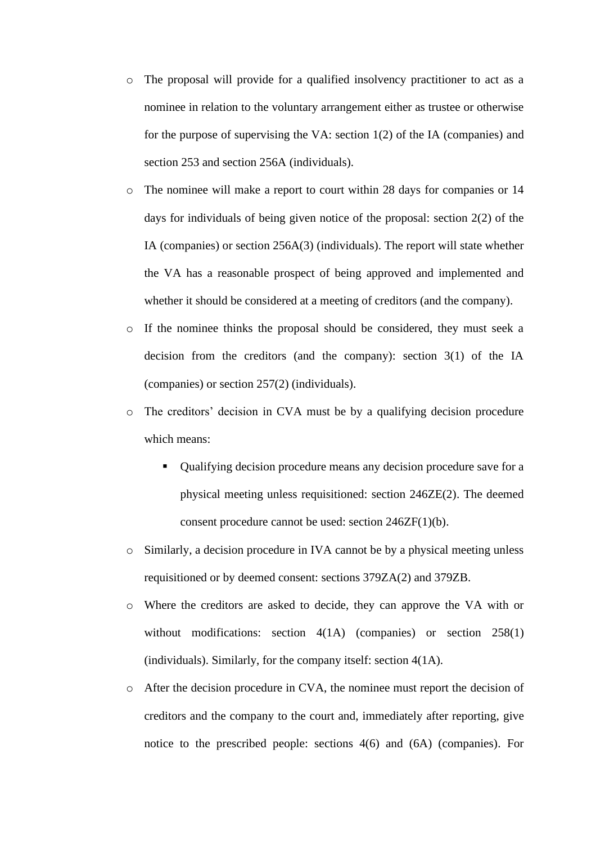- o The proposal will provide for a qualified insolvency practitioner to act as a nominee in relation to the voluntary arrangement either as trustee or otherwise for the purpose of supervising the VA: section 1(2) of the IA (companies) and section 253 and section 256A (individuals).
- o The nominee will make a report to court within 28 days for companies or 14 days for individuals of being given notice of the proposal: section 2(2) of the IA (companies) or section 256A(3) (individuals). The report will state whether the VA has a reasonable prospect of being approved and implemented and whether it should be considered at a meeting of creditors (and the company).
- o If the nominee thinks the proposal should be considered, they must seek a decision from the creditors (and the company): section 3(1) of the IA (companies) or section 257(2) (individuals).
- o The creditors' decision in CVA must be by a qualifying decision procedure which means:
	- Oualifying decision procedure means any decision procedure save for a physical meeting unless requisitioned: section 246ZE(2). The deemed consent procedure cannot be used: section 246ZF(1)(b).
- o Similarly, a decision procedure in IVA cannot be by a physical meeting unless requisitioned or by deemed consent: sections 379ZA(2) and 379ZB.
- o Where the creditors are asked to decide, they can approve the VA with or without modifications: section 4(1A) (companies) or section 258(1) (individuals). Similarly, for the company itself: section 4(1A).
- o After the decision procedure in CVA, the nominee must report the decision of creditors and the company to the court and, immediately after reporting, give notice to the prescribed people: sections 4(6) and (6A) (companies). For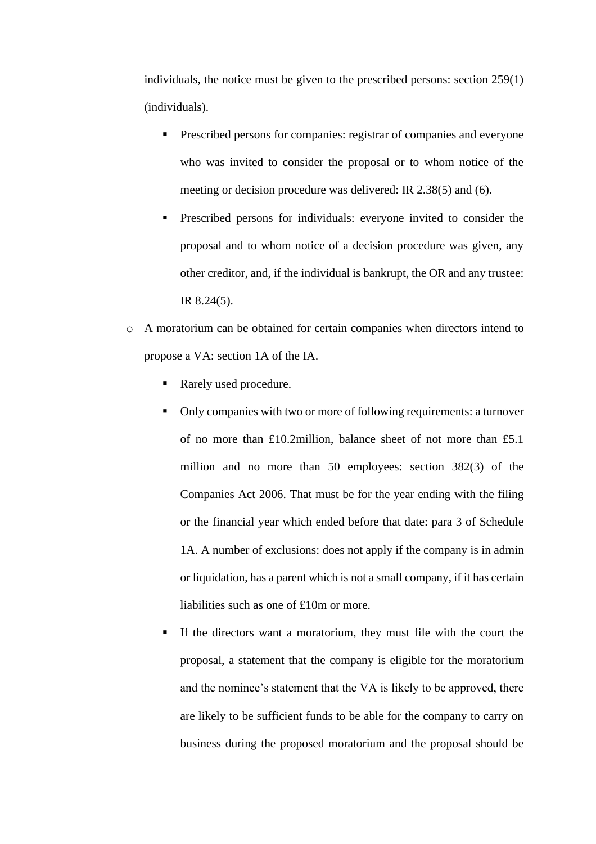individuals, the notice must be given to the prescribed persons: section 259(1) (individuals).

- **•** Prescribed persons for companies: registrar of companies and everyone who was invited to consider the proposal or to whom notice of the meeting or decision procedure was delivered: IR 2.38(5) and (6).
- **•** Prescribed persons for individuals: everyone invited to consider the proposal and to whom notice of a decision procedure was given, any other creditor, and, if the individual is bankrupt, the OR and any trustee: IR 8.24(5).
- o A moratorium can be obtained for certain companies when directors intend to propose a VA: section 1A of the IA.
	- Rarely used procedure.
	- Only companies with two or more of following requirements: a turnover of no more than £10.2million, balance sheet of not more than £5.1 million and no more than 50 employees: section 382(3) of the Companies Act 2006. That must be for the year ending with the filing or the financial year which ended before that date: para 3 of Schedule 1A. A number of exclusions: does not apply if the company is in admin or liquidation, has a parent which is not a small company, if it has certain liabilities such as one of £10m or more.
	- If the directors want a moratorium, they must file with the court the proposal, a statement that the company is eligible for the moratorium and the nominee's statement that the VA is likely to be approved, there are likely to be sufficient funds to be able for the company to carry on business during the proposed moratorium and the proposal should be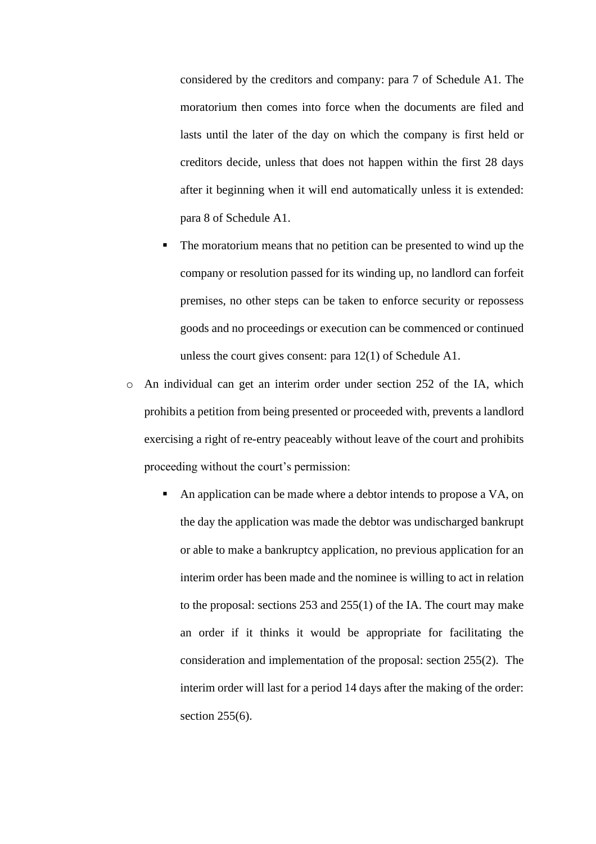considered by the creditors and company: para 7 of Schedule A1. The moratorium then comes into force when the documents are filed and lasts until the later of the day on which the company is first held or creditors decide, unless that does not happen within the first 28 days after it beginning when it will end automatically unless it is extended: para 8 of Schedule A1.

- The moratorium means that no petition can be presented to wind up the company or resolution passed for its winding up, no landlord can forfeit premises, no other steps can be taken to enforce security or repossess goods and no proceedings or execution can be commenced or continued unless the court gives consent: para 12(1) of Schedule A1.
- o An individual can get an interim order under section 252 of the IA, which prohibits a petition from being presented or proceeded with, prevents a landlord exercising a right of re-entry peaceably without leave of the court and prohibits proceeding without the court's permission:
	- An application can be made where a debtor intends to propose a VA, on the day the application was made the debtor was undischarged bankrupt or able to make a bankruptcy application, no previous application for an interim order has been made and the nominee is willing to act in relation to the proposal: sections 253 and 255(1) of the IA. The court may make an order if it thinks it would be appropriate for facilitating the consideration and implementation of the proposal: section 255(2). The interim order will last for a period 14 days after the making of the order: section 255(6).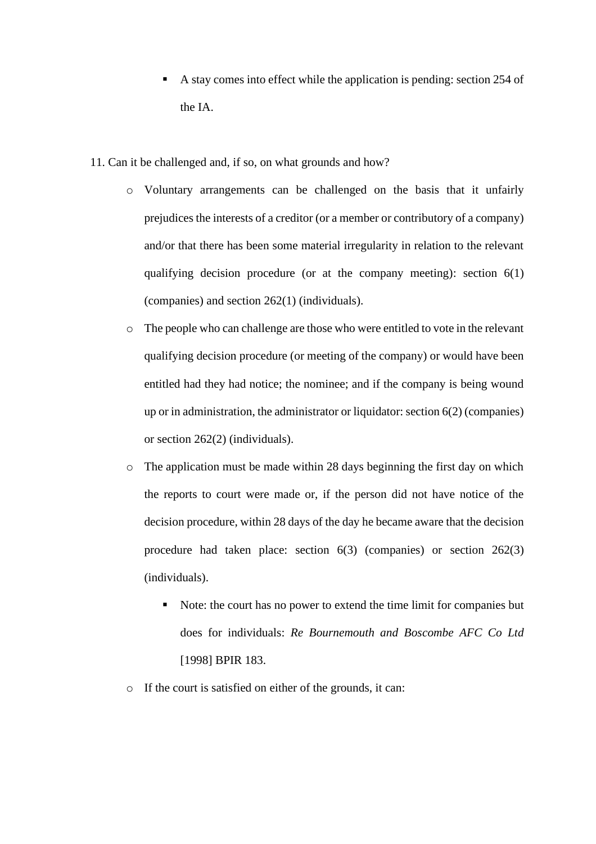- A stay comes into effect while the application is pending: section 254 of the IA.
- 11. Can it be challenged and, if so, on what grounds and how?
	- o Voluntary arrangements can be challenged on the basis that it unfairly prejudices the interests of a creditor (or a member or contributory of a company) and/or that there has been some material irregularity in relation to the relevant qualifying decision procedure (or at the company meeting): section 6(1) (companies) and section 262(1) (individuals).
	- o The people who can challenge are those who were entitled to vote in the relevant qualifying decision procedure (or meeting of the company) or would have been entitled had they had notice; the nominee; and if the company is being wound up or in administration, the administrator or liquidator: section 6(2) (companies) or section 262(2) (individuals).
	- $\circ$  The application must be made within 28 days beginning the first day on which the reports to court were made or, if the person did not have notice of the decision procedure, within 28 days of the day he became aware that the decision procedure had taken place: section 6(3) (companies) or section 262(3) (individuals).
		- Note: the court has no power to extend the time limit for companies but does for individuals: *Re Bournemouth and Boscombe AFC Co Ltd*  [1998] BPIR 183.
	- o If the court is satisfied on either of the grounds, it can: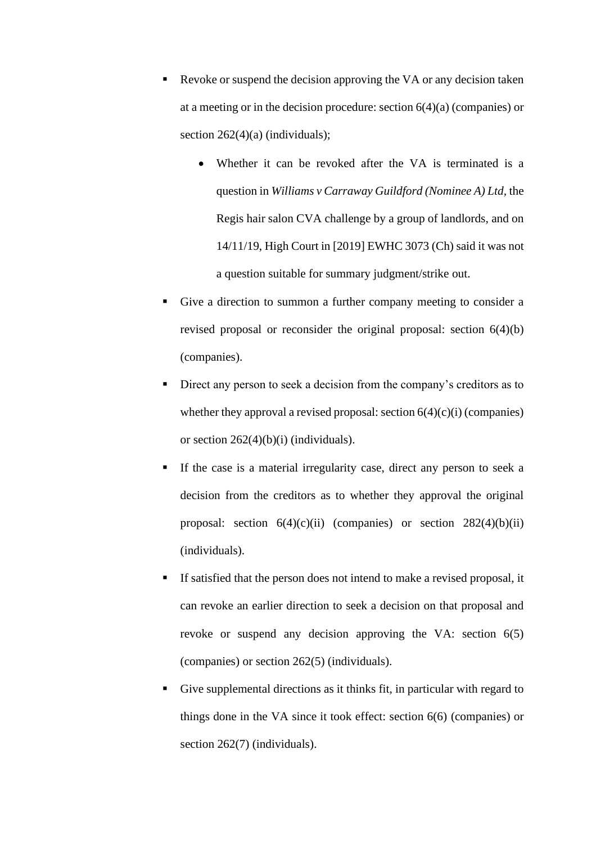- Revoke or suspend the decision approving the VA or any decision taken at a meeting or in the decision procedure: section  $6(4)(a)$  (companies) or section 262(4)(a) (individuals);
	- Whether it can be revoked after the VA is terminated is a question in *Williams v Carraway Guildford (Nominee A) Ltd,* the Regis hair salon CVA challenge by a group of landlords, and on 14/11/19, High Court in [2019] EWHC 3073 (Ch) said it was not a question suitable for summary judgment/strike out.
- Give a direction to summon a further company meeting to consider a revised proposal or reconsider the original proposal: section 6(4)(b) (companies).
- **EXECUTE:** Direct any person to seek a decision from the company's creditors as to whether they approval a revised proposal: section  $6(4)(c)(i)$  (companies) or section  $262(4)(b)(i)$  (individuals).
- **If the case is a material irregularity case, direct any person to seek a** decision from the creditors as to whether they approval the original proposal: section  $6(4)(c)(ii)$  (companies) or section  $282(4)(b)(ii)$ (individuals).
- If satisfied that the person does not intend to make a revised proposal, it can revoke an earlier direction to seek a decision on that proposal and revoke or suspend any decision approving the VA: section 6(5) (companies) or section 262(5) (individuals).
- Give supplemental directions as it thinks fit, in particular with regard to things done in the VA since it took effect: section 6(6) (companies) or section 262(7) (individuals).